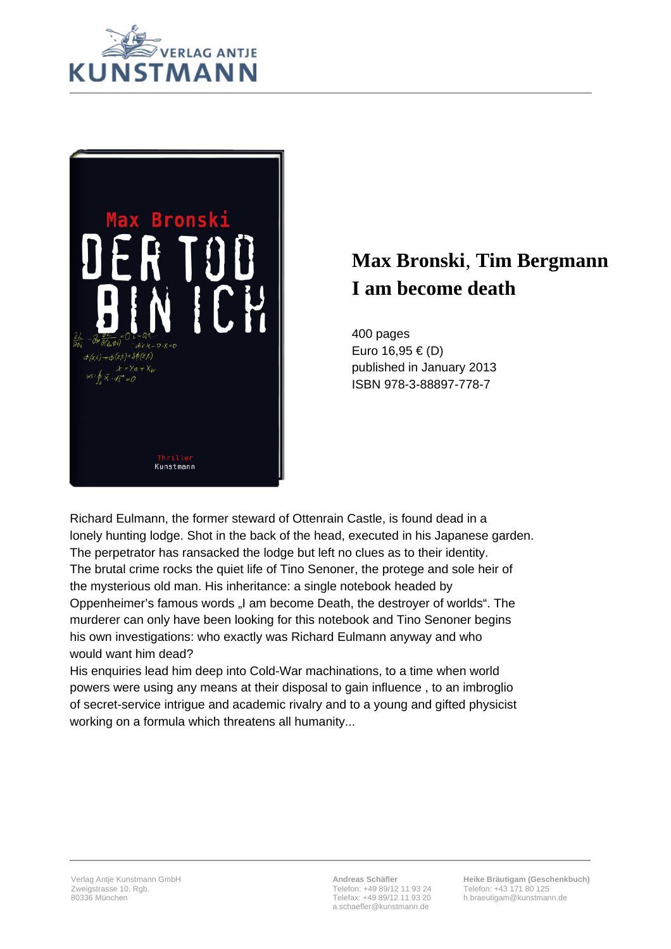



## **Max Bronski**, **Tim Bergmann I am become death**

400 pages Euro 16,95 € (D) published in January 2013 ISBN 978-3-88897-778-7

Richard Eulmann, the former steward of Ottenrain Castle, is found dead in a lonely hunting lodge. Shot in the back of the head, executed in his Japanese garden. The perpetrator has ransacked the lodge but left no clues as to their identity. The brutal crime rocks the quiet life of Tino Senoner, the protege and sole heir of the mysterious old man. His inheritance: a single notebook headed by Oppenheimer's famous words "I am become Death, the destroyer of worlds". The murderer can only have been looking for this notebook and Tino Senoner begins his own investigations: who exactly was Richard Eulmann anyway and who would want him dead?

His enquiries lead him deep into Cold-War machinations, to a time when world powers were using any means at their disposal to gain influence , to an imbroglio of secret-service intrigue and academic rivalry and to a young and gifted physicist working on a formula which threatens all humanity...

**Andreas Schäfler** Telefon: +49 89/12 11 93 24 Telefax: +49 89/12 11 93 20 a.schaefler@kunstmann.de